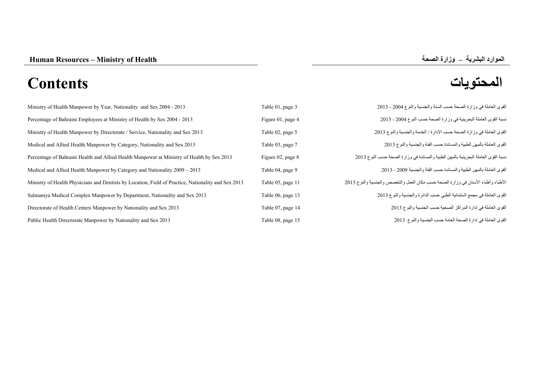# **المحتويات Contents**

| Ministry of Health Manpower by Year, Nationality and Sex 2004 - 2013                                | Table 01, page 3  | القوى العاملة في وزارة الصحة حسب السنة والجنسية والنوع 2004 - 2013                 |
|-----------------------------------------------------------------------------------------------------|-------------------|------------------------------------------------------------------------------------|
| Percentage of Bahraini Employees at Ministry of Health by Sex 2004 - 2013                           | Figure 01, page 4 | نسبة القوى العاملة البحرينية في وزارة الصحة حسب النوع 2004 - 2013                  |
| Ministry of Health Manpower by Directorate / Service, Nationality and Sex 2013                      | Table 02, page 5  | القوى العاملة في وزارة الصحة حسب الإدارة / الخدمة والجنسية والنوع 2013             |
| Medical and Allied Health Manpower by Category, Nationality and Sex 2013                            | Table 03, page 7  | القوى العاملة بالمهن الطبية والمساندة حسب الفئة والجنسية والنوع 2013               |
| Percentage of Bahraini Health and Allied Health Manpower at Ministry of Health by Sex 2013          | Figure 02, page 8 | نسبة القوى العاملة البحرينية بالمهن الطبية والمساندة في وزارة الصحة حسب النوع 2013 |
| Medical and Allied Health Manpower by Category and Nationality 2009 - 2013                          | Table 04, page 9  | القوى العاملة بالمهن الطبية والمساندة حسب الفئة والجنسية 2009 - 2013               |
| Ministry of Health Physicians and Dentists by Location, Field of Practice, Nationality and Sex 2013 | Table 05, page 11 | الأطباء وأطباء الأسنان في وزارة الصحة حسب مكان العمل والتخصص والجنسية والنوع 2013  |
| Salmaniya Medical Complex Manpower by Department, Nationality and Sex 2013                          | Table 06, page 13 | القوى العاملة في مجمع السلمانية الطبي حسب الدائرة والجنسية والنوع 2013             |
| Directorate of Health Centers Manpower by Nationality and Sex 2013                                  | Table 07, page 14 | القوى العاملة في إدارة المراكز الصحية حسب الجنسية والنوع 2013                      |
| Public Health Directorate Manpower by Nationality and Sex 2013                                      | Table 08, page 15 | القوى العاملة في إدارة الصحة العامة حسب الجنسية والنوع 2013                        |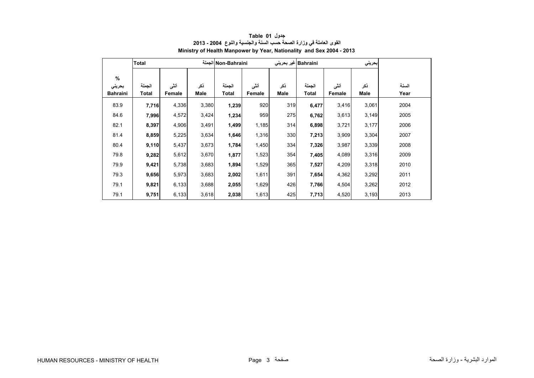<span id="page-1-0"></span>

|                                   | <b>Total</b>    |                |             |                 | Non-Bahraini الجملة<br>Bahraini غير بحريني |             |                        |                | بحريني      |               |
|-----------------------------------|-----------------|----------------|-------------|-----------------|--------------------------------------------|-------------|------------------------|----------------|-------------|---------------|
| $\%$<br>بحريني<br><b>Bahraini</b> | الجملة<br>Total | أنشى<br>Female | ذكر<br>Male | الجملة<br>Total | أننى<br>Female                             | نكر<br>Male | الجملة<br><b>Total</b> | أنشى<br>Female | ذكر<br>Male | السنة<br>Year |
| 83.9                              | 7,716           | 4,336          | 3,380       | 1,239           | 920                                        | 319         | 6,477                  | 3,416          | 3,061       | 2004          |
|                                   |                 |                |             |                 |                                            |             |                        |                |             |               |
| 84.6                              | 7,996           | 4,572          | 3,424       | 1,234           | 959                                        | 275         | 6,762                  | 3,613          | 3,149       | 2005          |
| 82.1                              | 8,397           | 4,906          | 3,491       | 1,499           | 1,185                                      | 314         | 6,898                  | 3,721          | 3,177       | 2006          |
| 81.4                              | 8,859           | 5,225          | 3,634       | 1,646           | 1,316                                      | 330         | 7,213                  | 3,909          | 3,304       | 2007          |
| 80.4                              | 9,110           | 5,437          | 3,673       | 1,784           | 1,450                                      | 334         | 7,326                  | 3,987          | 3,339       | 2008          |
| 79.8                              | 9,282           | 5,612          | 3,670       | 1,877           | 1,523                                      | 354         | 7,405                  | 4,089          | 3,316       | 2009          |
| 79.9                              | 9,421           | 5,738          | 3,683       | 1,894           | 1,529                                      | 365         | 7,527                  | 4,209          | 3,318       | 2010          |
| 79.3                              | 9,656           | 5,973          | 3,683       | 2,002           | 1,611                                      | 391         | 7,654                  | 4,362          | 3,292       | 2011          |
| 79.1                              | 9,821           | 6,133          | 3,688       | 2,055           | 1,629                                      | 426         | 7,766                  | 4,504          | 3,262       | 2012          |
| 79.1                              | 9,751           | 6,133          | 3,618       | 2,038           | 1,613                                      | 425         | 7,713                  | 4,520          | 3,193       | 2013          |

**جدول 01 Table القوى العاملة في وزارة الصحة حسب السنة والجنسية والنوع 2004 - 2013 Ministry of Health Manpower by Year, Nationality and Sex 2004 - 2013**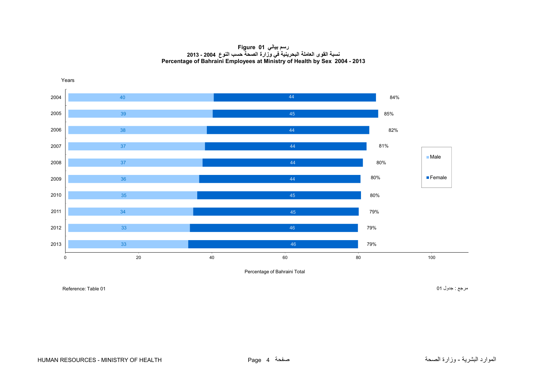**رسم بياني 01 Figure نسبة القوى العاملة البحرينية في وزارة الصحة حسب النوع 2004 - 2013 Percentage of Bahraini Employees at Ministry of Health by Sex 2004 - 2013**

<span id="page-2-0"></span>

Percentage of Bahraini Total

مرجع : جدول 01 01 Reference: Table 01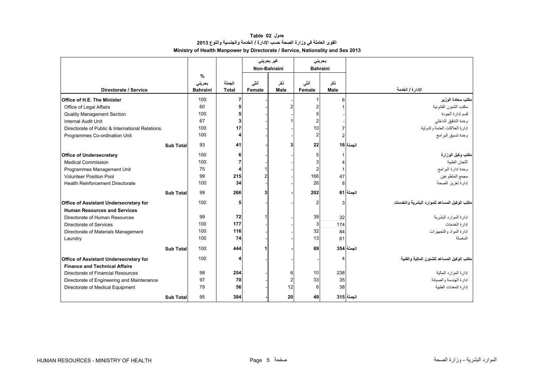## **جدول 02 Table القوى العاملة في وزارة الصحة حسب اإلدارة / الخدمة والجنسية والنوع <sup>2013</sup> Ministry of Health Manpower by Directorate / Service, Nationality and Sex 2013**

<span id="page-3-0"></span>

|                                                 |                  |                                |                        | غیر بحرینی     |                | بحرينى          |             |                                              |
|-------------------------------------------------|------------------|--------------------------------|------------------------|----------------|----------------|-----------------|-------------|----------------------------------------------|
|                                                 |                  |                                |                        | Non-Bahraini   |                | <b>Bahraini</b> |             |                                              |
| Directorate / Service                           |                  | %<br>بحريني<br><b>Bahraini</b> | الجملة<br><b>Total</b> | أنشى<br>Female | ذكر<br>Male    | أنشى<br>Female  | ذكر<br>Male | الإدارة / الخدمة                             |
| Office of H.E. The Minister                     |                  | 100                            | $\overline{7}$         |                |                |                 | 6           | مكتب سعادة الوزير                            |
| Office of Legal Affairs                         |                  | 60                             |                        |                |                |                 |             | مكتب الشئون القانونية                        |
| <b>Quality Management Section</b>               |                  | 100                            |                        |                |                |                 |             | قسم إدارة الجودة                             |
| <b>Internal Audit Unit</b>                      |                  | 67                             | 3 <sup>1</sup>         |                |                |                 |             | وحدة التدقيق الداخلي                         |
| Directorate of Public & International Relations |                  | 100                            | 17                     |                |                | 10              |             | إدارة العلاقات العامة والدولية               |
| Programmes Co-ordination Unit                   |                  | 100                            | 4                      |                |                | $\overline{c}$  |             | وحدة تنسيق البرامج                           |
|                                                 | <b>Sub Total</b> | 93                             | 41                     |                | 3              | 22              |             | الحملة 16                                    |
| <b>Office of Undersecretary</b>                 |                  | 100                            | 6 <sup>1</sup>         |                |                |                 |             | مكتب وكيل الوزارة                            |
| <b>Medical Commission</b>                       |                  | 100                            |                        |                |                |                 |             | اللجان الطبية                                |
| Programmes Management Unit                      |                  | 75                             | 4                      |                |                | 2               | 1           | وحدة ادارة البرامج                           |
| <b>Volunteer Position Pool</b>                  |                  | 99                             | 215                    |                |                | 166             | 47          | مجمع المتطوعين                               |
| <b>Health Reinforcement Directorate</b>         |                  | 100                            | 34                     |                |                | 26              | 8           | إدارة تعزيز الصحة                            |
|                                                 | <b>Sub Total</b> | 99                             | 266                    | з              |                | 202             |             | الجملة   61                                  |
| <b>Office of Assistant Undersecretary for</b>   |                  | 100                            | 5                      |                |                | 2               | 3           | مكتب الوكيل المساعد للموارد البشرية والخدمات |
| <b>Human Resources and Services</b>             |                  |                                |                        |                |                |                 |             |                                              |
| Directorate of Human Resources                  |                  | 99                             | 72                     |                |                | 39              | 32          | إدارة الموارد البشرية                        |
| Directorate of Services                         |                  | 100                            | 177                    |                |                | 3               | 174         | إدار ة الخدمات                               |
| Directorate of Materials Management             |                  | 100                            | 116                    |                |                | 32              | 84          | إدارة المواد والتجهيزات                      |
| Laundry                                         |                  | 100                            | 74                     |                |                | 13              | 61          | المغسلة                                      |
|                                                 | <b>Sub Total</b> | 100                            | 444                    |                |                | 89              |             | الجملة 354                                   |
| <b>Office of Assistant Undersecretary for</b>   |                  | 100                            | 4                      |                |                |                 |             | مكتب الوكيل المساعد للشئون المالية والفنية   |
| <b>Finance and Technical Affairs</b>            |                  |                                |                        |                |                |                 |             |                                              |
| Directorate of Financial Resources              |                  | 98                             | 254                    |                | 6              | 10              | 238         | إدارة الموارد المالية                        |
| Directorate of Engineering and Maintenance      |                  | 97                             | 70                     |                | $\overline{2}$ | 33              | 35          | إدارة الهندسة والصيانة                       |
| Directorate of Medical Equipment                |                  | 79                             | 56                     |                | 12             | 6               | 38          | إدار ة المعدات الطببة                        |
|                                                 | <b>Sub Total</b> | 95                             | 384                    |                | 20             | 49              |             | الجملة 315                                   |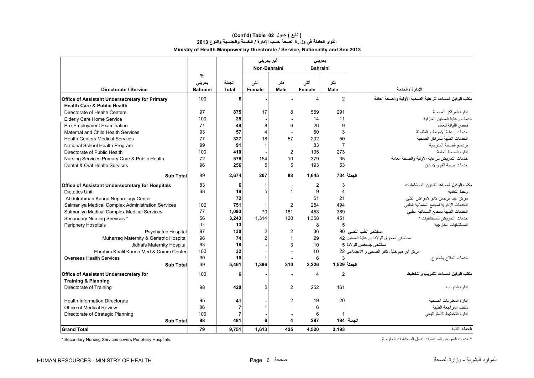## **Ministry of Health Manpower by Directorate / Service, Nationality and Sex 2013 (Cont'd) Table 02 جدول ) تابع( القوى العاملة في وزارة الصحة حسب اإلدارة / الخدمة والجنسية والنوع <sup>2013</sup>**

|                                                         |                 |              | غیر بحرینی              |             | بحرينى          |                |                                                          |
|---------------------------------------------------------|-----------------|--------------|-------------------------|-------------|-----------------|----------------|----------------------------------------------------------|
|                                                         |                 |              | Non-Bahraini            |             | <b>Bahraini</b> |                |                                                          |
|                                                         | %               |              |                         |             |                 |                |                                                          |
|                                                         | بحرينى          | الجملة       | أنشى                    | نکر         | أنشى            | ذكر            |                                                          |
| Directorate / Service                                   | <b>Bahraini</b> | <b>Total</b> | Female                  | <b>Male</b> | Female          | Male           | الإدارة / الخدمة                                         |
| Office of Assistant Undersecretary for Primary          | 100             | 6            |                         |             |                 | $\overline{2}$ | مكتب الوكيل المساعد للرعاية الصحية الأولية والصحة العامة |
| <b>Health Care &amp; Public Health</b>                  |                 |              |                         |             |                 |                |                                                          |
| Directorate of Health Centers                           | 97              | 875          | 17                      | 8           | 559             | 291            | إدار ة المر اكز الصحية                                   |
| Elderly Care Home Service                               | 100             | 25           |                         |             | 14              | 11             | خدمات ر عاية المسنين المنزلية                            |
| Pre-Employment Examination                              | 71              | 49           | 8                       |             | 26              | 9              | فحص اللياقة للعمل                                        |
| Maternal and Child Health Services                      | 93              | 57           | $\overline{\mathbf{4}}$ |             | 50              | 3              | خدمات رعاية الامومة و الطفولة                            |
| <b>Health Centers Medical Services</b>                  | 77              | 327          | 18                      | 57          | 202             | 50             | الخدمات الطبية للمر اكز الصحية                           |
| National School Health Program                          | 99              | 91           | $\mathbf{1}$            |             | 83              | $\overline{7}$ | برنامج الصحة المدرسية                                    |
| Directorate of Public Health                            | 100             | 410          |                         |             | 135             | 273            | إدارة الصحة العامة                                       |
| Nursing Services Primary Care & Public Health           | 72              | 578          | 154                     | 10          | 379             | 35             | خدمات التمريض للرعاية الأولية والصحة العامة              |
| Dental & Oral Health Services                           | 96              | 256          | 5                       | 5           | 193             | 53             | خدمات صحة الفم و الأسنان                                 |
| <b>Sub Total</b>                                        | 89              | 2.674        | 207                     | 88          | 1.645           |                | الجملة 734                                               |
| <b>Office of Assistant Undersecretary for Hospitals</b> | 83              | 6            | 1                       |             |                 | 3              | مكتب الوكيل المساعد لشئون المستشفيات                     |
| Dietetics Unit                                          | 68              | 19           | 5                       |             |                 | $\overline{4}$ | وحدة التغذبة                                             |
| Abdulrahman Kanoo Nephrology Center                     |                 | 72           |                         |             | 51              | 21             | مر كز عبد الر حمن كانو الأمر اض الكلي                    |
| Salmaniya Medical Complex Administration Services       | 100             | 751          | $\mathbf{1}$            |             | 254             | 494            | الخدمات الإدارية لمجمع السلمانية الطبي                   |
| Salmaniya Medical Complex Medical Services              | 77              | 1.093        | 70                      | 181         | 453             | 389            | الخدمات الطبية لمجمع السلمانية الطبى                     |
| Secondary Nursing Services *                            | 56              | 3,243        | 1,314                   | 120         | 1,358           | 451            | خدمات التمر يض للمستشفيات *                              |
| Periphery Hospitals                                     | $\Omega$        | 13           |                         |             | 8               | 5              | المستشفيات الخار جية                                     |
| <b>Psychiatric Hospital</b>                             | 97              | 130          | $\overline{2}$          |             | 36              | 90             | مستشفى الطب النفسي                                       |
| Muharraq Maternity & Geriatric Hospital                 | 96              | 74           | $\overline{2}$          |             | 29              |                | مستشفى المحرق للولادة ورعاية المسنين 32                  |
| Jidhafs Maternity Hospital                              | 83              | 18           |                         |             | 10              |                | مستشفى جدحفص للو لادة 5                                  |
| Ebrahim Khalil Kanoo Med & Comm Center                  | 100             | 32           |                         |             | 10              |                | مركز ابراهيم خليل كانو الصحى و الاجتماعي 22              |
| Overseas Health Services                                | 90              | 10           | -1                      |             | 6               |                | خدمات العلاج بالخارج                                     |
| <b>Sub Total</b>                                        | 69              | 5,461        | 1,396                   | 310         | 2,226           | الجملة 1,529   |                                                          |
| <b>Office of Assistant Undersecretary for</b>           | 100             | 6            |                         |             |                 | 2              | مكتب الوكيل المساعد للتدريب والتخطيط                     |
| <b>Training &amp; Planning</b>                          |                 |              |                         |             |                 |                |                                                          |
| Directorate of Training                                 | 98              | 420          | 5                       |             | 252             | 161            | إدار ة التدر يب                                          |
|                                                         |                 |              |                         |             |                 |                |                                                          |
| <b>Health Information Directorate</b>                   | 95              | 41           |                         |             | 19              | 20             | إدارة المعلومات الصحية                                   |
| Office of Medical Review                                | 86              |              |                         |             |                 |                | مكتب المراجعة الطبية                                     |
| Directorate of Strategic Planning                       | 100             |              |                         |             |                 |                | إدارة التخطيط الأستر اتيجي                               |
| <b>Sub Total</b>                                        | 98              | 481          | 6                       |             | 287             |                | الجملة  184                                              |
| <b>Grand Total</b>                                      | 79              | 9,751        | 1,613                   | 425         | 4,520           | 3,193          | الحملة الكلبة                                            |

\* Secondary Nursing Services covers Periphery Hospitals.

\* خدمات التمريض للمستشفيات تشمل المستشفيات الخارجية .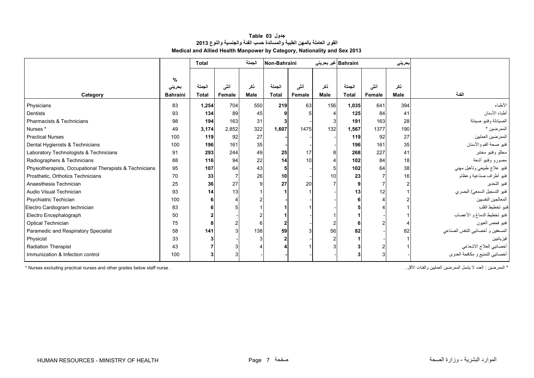| جدول Table 03                                                            |
|--------------------------------------------------------------------------|
| القوى العاملة بالمهن الطبية والمساندة حسب الفنة والجنسية والنوع 2013     |
| Medical and Allied Health Manpower by Category, Nationality and Sex 2013 |

<span id="page-5-0"></span>

|                                                         |                 | Total        |        | الجملة      | Non-Bahraini   |        | Bahraini غیر بحرینی |              |        | بحريني |                                   |
|---------------------------------------------------------|-----------------|--------------|--------|-------------|----------------|--------|---------------------|--------------|--------|--------|-----------------------------------|
|                                                         |                 |              |        |             |                |        |                     |              |        |        |                                   |
|                                                         | $\%$<br>بحريني  | الجملة       | أنشى   | ذکر         | الجملة         | أنشى   | ذكر                 | الجملة       | أنشى   | ذكر    |                                   |
| Category                                                | <b>Bahraini</b> | <b>Total</b> | Female | <b>Male</b> | <b>Total</b>   | Female | Male                | <b>Total</b> | Female | Male   | الفنة                             |
| Physicians                                              | 83              | 1,254        | 704    | 550         | 219            | 63     | 156                 | 1,035        | 641    | 394    | الأطباء                           |
| Dentists                                                | 93              | 134          | 89     | 45          |                |        |                     | 125          | 84     | 41     | أطباء الأسنان                     |
| Pharmacists & Technicians                               | 98              | 194          | 163    | 31          |                |        |                     | 191          | 163    | 28     | الصيادلة وفنيو صيدلة              |
| Nurses <sup>*</sup>                                     | 49              | 3,174        | 2,852  | 322         | 1,607          | 1475   | 132                 | 1,567        | 1377   | 190    | الممرضين *                        |
| <b>Practical Nurses</b>                                 | 100             | 119          | 92     | 27          |                |        |                     | 119          | 92     | 27     | الممرضين العمليين                 |
| Dental Hygienists & Technicians                         | 100             | 196          | 161    | 35          |                |        |                     | 196          | 161    | 35     | فنيو صحة الفم والأسنان            |
| Laboratory Technologists & Technicians                  | 91              | 293          | 244    | 49          | 25             | 17     | 8                   | 268          | 227    | 41     | محللو وفنيو مختبر                 |
| Radiographers & Technicians                             | 88              | 116          | 94     | 22          | 14             | 10     | Δ                   | 102          | 84     | 18     | مصورو وفنيو أشعة                  |
| Physiotherapists, Occupational Therapists & Technicians | 95              | 107          | 64     | 43          | 5 <sup>1</sup> |        | 5                   | 102          | 64     | 38     | فنيو علاج طبيعي وتأهيل مهني       |
| Prosthetic, Orthotics Technicians                       | 70              | 33           |        | 26          | 10             |        | 10                  | 23           |        | 16     | فنيو أطراف صناعية وعظام           |
| Anaesthesia Technician                                  | 25              | 36           | 27     | 9           | 27             | 20     |                     |              |        |        | فنبو التخدير                      |
| Audio Visual Technician                                 | 93              | 14           | 13     |             |                |        |                     | 13           | 12     |        | فنيو التسجيل السمعي/ البصري       |
| Psychiatric Techician                                   | 100             |              |        |             |                |        |                     |              |        |        | المعالجين النفسيين                |
| Electro Cardiogram technician                           | 83              |              |        |             |                |        |                     |              |        |        | فنيو تخطيط القلب                  |
| Electro Encephalograph                                  | 50              |              |        |             |                |        |                     |              |        |        | فنيو تخطيط الدماغ و الأعصاب       |
| Optical Technician                                      | 75              | 8            |        | 6           |                |        |                     |              |        |        | فنيو فحص العيون                   |
| Paramedic and Respiratory Specialist                    | 58              | 141          |        | 138         | 59             |        | 56                  | 82           |        | 82     | المسعفين و أخصائيي النتفس الصناعي |
| Physicist                                               | 33              |              |        |             |                |        | 2                   |              |        |        | فيز يائيين                        |
| <b>Radiation Therapist</b>                              | 43              |              |        |             |                |        | 3                   |              |        |        | أخصائيي العلاج الاشعاعي           |
| Immunization & Infection control                        | 100             |              |        |             |                |        |                     |              |        |        | أخصائيي التمنيع و مكافحة العدوي   |

\* Nurses excluding practical nurses and other grades below staff nurse . . األقل والفئات العمليين الممرضين يشمل ال العدد : الممرضين\*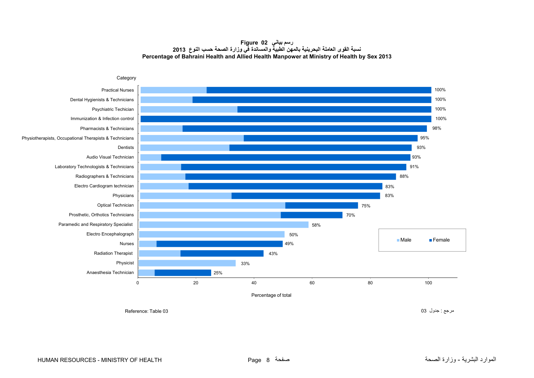### **رسم بياني 02 Figure نسبة القوى العاملة البحرينية بالمھن الطبية والمساندة في وزارة الصحة حسب النوع <sup>2013</sup> Percentage of Bahraini Health and Allied Health Manpower at Ministry of Health by Sex 2013**

<span id="page-6-0"></span>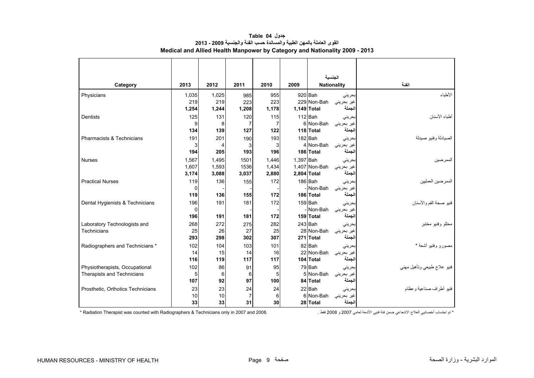<span id="page-7-0"></span>

|                                   |       |       |                |                |             |               | الجنسية            |                             |
|-----------------------------------|-------|-------|----------------|----------------|-------------|---------------|--------------------|-----------------------------|
| Category                          | 2013  | 2012  | 2011           | 2010           | 2009        |               | <b>Nationality</b> | الفنة                       |
| Physicians                        | 1,035 | 1,025 | 985            | 955            |             | 920 Bah       | بحرينى             | الأطباء                     |
|                                   | 219   | 219   | 223            | 223            |             | 229 Non-Bah   | غیر بحرینی         |                             |
|                                   | 1.254 | 1,244 | 1,208          | 1,178          | 1,149 Total |               | الجملة             |                             |
| Dentists                          | 125   | 131   | 120            | 115            |             | $112$ Bah     | بحرينى             | أطباء الأسنان               |
|                                   | 9     | 8     | $\overline{7}$ | $\overline{7}$ |             | 6 Non-Bah     | غیر بحرینی         |                             |
|                                   | 134   | 139   | 127            | 122            |             | 118 Total     | الجملة             |                             |
| Pharmacists & Technicians         | 191   | 201   | 190            | 193            |             | 182 Bah       | بحرينى             | الصيادلة وفنيو صيدلة        |
|                                   | 3     | 4     | 3              | 3              |             | 4 Non-Bah     | غير بحرينى         |                             |
|                                   | 194   | 205   | 193            | 196            |             | 186 Total     | الجملة             |                             |
| <b>Nurses</b>                     | 1.567 | 1.495 | 1501           | 1.446          | 1.397 Bah   |               | بحرينى             | الممر ضبرن                  |
|                                   | 1,607 | 1,593 | 1536           | 1,434          |             | 1,407 Non-Bah | غير بحريني         |                             |
|                                   | 3,174 | 3,088 | 3,037          | 2,880          | 2,804 Total |               | الجملة             |                             |
| <b>Practical Nurses</b>           | 119   | 136   | 155            | 172            |             | 186 Bah       | بحرينى             | الممرضين العمليين           |
|                                   | 0     |       |                |                |             | - Non-Bah     | غير بحريني         |                             |
|                                   | 119   | 136   | 155            | 172            |             | 186 Total     | الجملة             |                             |
| Dental Hygienists & Technicians   | 196   | 191   | 181            | 172            |             | 159 Bah       | بحرينى             | فنيو صحة الفم والأسنان      |
|                                   | 0     |       |                |                |             | - Non-Bah     | غير بحريني         |                             |
|                                   | 196   | 191   | 181            | 172            |             | 159 Total     | الجملة             |                             |
| Laboratory Technologists and      | 268   | 272   | 275            | 282            |             | 243 Bah       | بحرينى             | محللو وفنيو مختبر           |
| Technicians                       | 25    | 26    | 27             | 25             |             | 28 Non-Bah    | غير بحريني         |                             |
|                                   | 293   | 298   | 302            | 307            |             | 271 Total     | الجملة             |                             |
| Radiographers and Technicians *   | 102   | 104   | 103            | 101            |             | 82 Bah        | بحرينى             | مصورو وفنيو أشعة *          |
|                                   | 14    | 15    | 14             | 16             |             | 22 Non-Bah    | غیر بحرینی         |                             |
|                                   | 116   | 119   | 117            | 117            |             | 104 Total     | الجملة             |                             |
| Physiotherapists, Occupational    | 102   | 86    | 91             | 95             |             | 79 Bah        | بحرينى             | فنيو علاج طبيعي وتأهيل مهنى |
| Therapists and Technicians        | 5     | 6     | 6              | 5              |             | 5 Non-Bah     | غير بحريني         |                             |
|                                   | 107   | 92    | 97             | 100            |             | 84 Total      | الجملة             |                             |
| Prosthetic, Orthotics Technicians | 23    | 23    | 24             | 24             |             | 22 Bah        | بحرينى             | فنيو أطراف صناعية وعظام     |
|                                   | 10    | 10    | $\overline{7}$ | 6              |             | 6 Non-Bah     | غیر بحرینی         |                             |
|                                   | 33    | 33    | 31             | 30             |             | 28 Total      | الجملة             |                             |

**جدول 04 Table القوى العاملة بالمھن الطبية والمساندة حسب الفئة والجنسية 2009 - 2013 Medical and Allied Health Manpower by Category and Nationality 2009 - 2013**

\* تم احتساب أخصائيي العالج االشعاعي ضمن فئة فنيي األشعة لعامي 2007 و 2008 فقط . 2008. and 2007 in only Technicians & Radiographers with counted was Therapist Radiation\*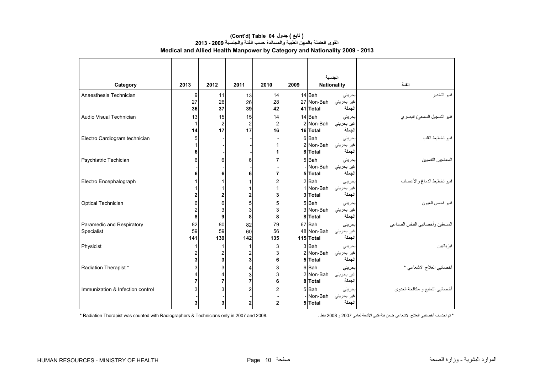|                                  |                |                  |                         |                |      | الجنسية            |                    |                                  |
|----------------------------------|----------------|------------------|-------------------------|----------------|------|--------------------|--------------------|----------------------------------|
| Category                         | 2013           | 2012             | 2011                    | 2010           | 2009 | <b>Nationality</b> |                    | الفئة                            |
| Anaesthesia Technician           | 9              | 11               | 13                      | 14             |      | 14 Bah             | بحرينى             | فنيو التخدير                     |
|                                  | 27             | 26               | 26                      | 28             |      | 27 Non-Bah         | غیر بحرینی         |                                  |
|                                  | 36             | 37               | 39                      | 42             |      | 41 Total           | الجملة             |                                  |
| Audio Visual Technician          | 13             | 15               | 15                      | 14             |      | 14 Bah             | بحرينى             | فنيو التسجيل السمعي/ البصري      |
|                                  | $\mathbf{1}$   | $\overline{2}$   | $\overline{2}$          | $\overline{2}$ |      | 2 Non-Bah          | غیر بحرینی         |                                  |
|                                  | 14             | 17               | 17                      | 16             |      | 16 Total           | الجملة             |                                  |
| Electro Cardiogram technician    | 5              |                  |                         |                |      | 6 Bah              | بحرينى             | فنيو تخطيط القلب                 |
|                                  |                |                  |                         |                |      | 2 Non-Bah          | غیر بحرین <i>ی</i> |                                  |
|                                  | 6              |                  |                         | 1              |      | 8 Total            | الجملة             |                                  |
| Psychiatric Techician            | 6              | 6                | 6                       | 7              |      | 5 Bah              | بحرينى             | المعالجين النفسيين               |
|                                  |                |                  |                         |                |      | - Non-Bah          | غیر بحرینی         |                                  |
|                                  | 6              | 6                | 6                       | 7              |      | 5 Total            | الجملة             |                                  |
| Electro Encephalograph           |                | 1                |                         | 2              |      | $2$ $Bah$          | بحرينى             | فنيو تخطيط الدماغ والأعصاب       |
|                                  |                | 1                |                         |                |      | 1 Non-Bah          | غير بحريني         |                                  |
|                                  | 2              | $\boldsymbol{2}$ | 2                       | 3              |      | 3 Total            | لجملة              |                                  |
| Optical Technician               | 6              | 6                | 5                       | 5              |      | 5 Bah              | بحرينى             | فنيو فحص العيون                  |
|                                  | $\overline{2}$ | 3                | 3                       | 3              |      | 3 Non-Bah          | غير بحريني         |                                  |
|                                  | 8              | 9                | 8                       | 8              |      | 8 Total            | الجملة             |                                  |
| Paramedic and Respiratory        | 82             | 80               | 82                      | 79             |      | 67 Bah             | بحرينى             | المسعفين وأخصائيي التنفس الصناعي |
| Specialist                       | 59             | 59               | 60                      | 56             |      | 48 Non-Bah         | غیر بحرینی         |                                  |
|                                  | 141            | 139              | 142                     | 135            |      | 115 Total          | لجملة              |                                  |
| Physicist                        | 1              | 1                | 1                       | 3              |      | 3 Bah              | بحرينى             | فبز يائبين                       |
|                                  | 2              | $\overline{c}$   | $\overline{2}$          | 3              |      | 2 Non-Bah          | غیر بحرینی         |                                  |
|                                  | 3              | $\mathbf 3$      | 3                       | 6              |      | 5 Total            | الجملة             |                                  |
| Radiation Therapist*             | 3              | 3                | 4                       | 3              |      | 6Bah               | بحرينى             | أخصائيي العلاج الاشعاعي *        |
|                                  |                | 4                | 3<br>$\overline{7}$     | 3              |      | 2 Non-Bah          | غیر بحرینی         |                                  |
|                                  | $\overline{7}$ | $\overline{7}$   |                         | 6              |      | 8 Total            | الجملة             |                                  |
| Immunization & Infection control | 3              | 3                | $\overline{\mathbf{c}}$ | 2              |      | 5 Bah              | بحرينى             | أخصائيي التمنيع و مكافحة العدوي  |
|                                  |                |                  |                         |                |      | - Non-Bah          | غیر بحرینی         |                                  |
|                                  | 3              | 3                | $\overline{\mathbf{2}}$ | $\overline{2}$ |      | 5 Total            | الجملة             |                                  |

### **Medical and Allied Health Manpower by Category and Nationality 2009 - 2013 (Cont'd) Table 04 جدول ) تابع( القوى العاملة بالمھن الطبية والمساندة حسب الفئة والجنسية 2009 - 2013**

\* تم احتساب أخصائيي العالج االشعاعي ضمن فئة فنيي األشعة لعامي 2007 و 2008 فقط . 2008. and 2007 in only Technicians & Radiographers with counted was Therapist Radiation\*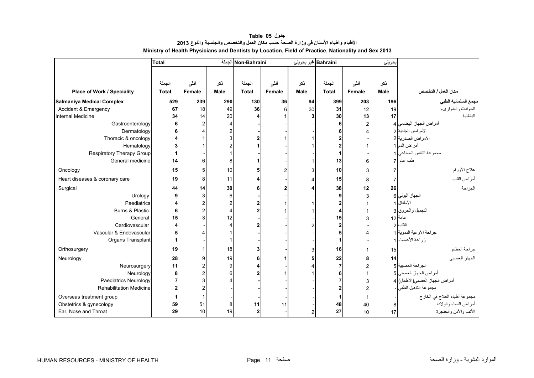<span id="page-9-0"></span>

|                                | <b>Total</b> |        |                | Non-Bahraini الجملة |              |      | Bahraini غیر بحرینی |                | حريني |                                 |
|--------------------------------|--------------|--------|----------------|---------------------|--------------|------|---------------------|----------------|-------|---------------------------------|
|                                |              |        |                |                     |              |      |                     |                |       |                                 |
|                                | الجملة       | أنشى   | نكر            | الجملة              | أنشى         | نكر  | الجملة              | أنشى           | ذكر   |                                 |
| Place of Work / Speciality     | <b>Total</b> | Female | Male           | <b>Total</b>        | Female       | Male | <b>Total</b>        | Female         | Male  | مكان العمل / التخصص             |
|                                |              |        |                |                     |              |      |                     |                |       |                                 |
| Salmaniya Medical Complex      | 529          | 239    | 290            | 130                 | 36           | 94   | 399                 | 203            | 196   | مجمع السلمانية الطبي            |
| Accident & Emergency           | 67           | 18     | 49             | 36                  | 6            | 30   | 31                  | 12             | 19    | الحوادث والطواريء               |
| Internal Medicine              | 34           | 14     | 20             |                     |              |      | 30                  | 13             | 17    | الباطنية                        |
| Gastroenterology               |              |        | 4              |                     |              |      |                     | $\overline{2}$ |       | أمراض الجهاز الهضمى   4         |
| Dermatology                    | հ            |        | $\overline{c}$ |                     |              |      |                     |                |       | الأمراض الجلدية 2               |
| Thoracic & oncology            |              |        | 3              |                     |              |      |                     |                |       | الأمراض الصدرية 2               |
| Hematology                     |              |        | $\overline{c}$ |                     |              |      |                     |                |       | أمراض الدم 1                    |
| Respiratory Therapy Group      | 1            |        |                |                     |              |      |                     |                |       | مجموعة التنفس الصناعي 1         |
| General medicine               | 14           |        | 8              |                     |              |      | 13                  | 6              |       | طب عام 7                        |
| Oncology                       | 15           |        | 10             |                     | 2            |      | 10                  | 3              |       | علاج الأورام                    |
| Heart diseases & coronary care | 19           |        | 11             |                     |              |      | 15                  | 8              |       | أمراض القلب                     |
| Surgical                       | 44           | 14     | 30             |                     | $\mathbf{2}$ |      | 38                  | 12             | 26    | الجراحة                         |
| Urology                        | 9            |        | 6              |                     |              |      |                     | 3              |       | الجهاز البولي 6                 |
| Paediatrics                    | 4            |        | $\overline{c}$ |                     |              |      |                     |                |       | الأطفال 1                       |
| Burns & Plastic                | 6            |        | $\overline{4}$ |                     |              |      |                     |                |       | التجميل والحروق 3               |
| General                        | 15           |        | 12             |                     |              |      | 15                  |                |       | عامة 12                         |
| Cardiovascular                 | 4            |        | $\overline{4}$ |                     |              |      |                     |                |       | القلب                           |
| Vascular & Endovascular        |              |        |                |                     |              |      |                     |                |       | جراحة الأوعية الدموية 1         |
| Organs Transplant              |              |        |                |                     |              |      |                     |                |       | زراعة الأعضاء 1                 |
| Orthosurgery                   | 19           |        | 18             |                     |              |      | 16                  |                | 15    | جراحة العظام                    |
| Neurology                      | 28           |        | 19             | 6                   |              |      | 22                  | 8              | 14    | الجهاز العصبي                   |
| Neurosurgery                   | 11           |        | 9              |                     |              |      |                     | $\overline{2}$ |       | الجراحة العصبية 5               |
| Neurology                      | 8            |        | 6              |                     |              |      |                     |                |       | أمراض الجهاز العصبي 5           |
| <b>Paediatrics Neurology</b>   | 7            |        |                |                     |              |      |                     |                |       | أمراض الجهاز العصبي(الأطفال)  4 |
| <b>Rehabilitation Medicine</b> |              |        |                |                     |              |      |                     |                |       | مجموعة التاهيل الطبي            |
| Overseas treatment group       |              |        |                |                     |              |      |                     |                |       | مجموعة أطباء العلاج في الخارج   |
| Obstetrics & gynecology        | 59           | 51     | 8              | 11                  | 11           |      | 48                  | 40             | 8     | أمراض النساء والولادة           |
| Ear, Nose and Throat           | 29           | 10     | 19             | $\mathbf{2}$        |              |      | 27                  | 10             | 17    | الأنف والأذن والحنجرة           |

**جدول 05 Table األطباء وأطباء األسنان في وزارة الصحة حسب مكان العمل والتخصص والجنسية والنوع <sup>2013</sup> Ministry of Health Physicians and Dentists by Location, Field of Practice, Nationality and Sex 2013**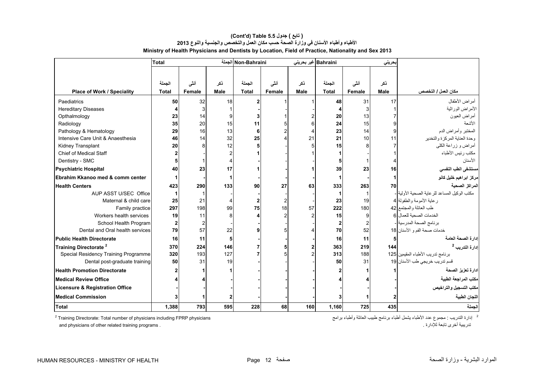|                                      | <b>Total</b> |                |             | Non-Bahraini الجملة |                |             | Bahraini غير بحريني |               | بحريني      |                                                |
|--------------------------------------|--------------|----------------|-------------|---------------------|----------------|-------------|---------------------|---------------|-------------|------------------------------------------------|
|                                      |              |                |             |                     |                |             |                     |               |             |                                                |
|                                      | الجملة       | أننى           | ذكر         | الجملة              | أنشى           | ذكر         | الجملة              | أنشى          | ذكر         |                                                |
| Place of Work / Speciality           | <b>Total</b> | <b>Female</b>  | <b>Male</b> | <b>Total</b>        | Female         | <b>Male</b> | <b>Total</b>        | <b>Female</b> | <b>Male</b> | مكان العمل / التخصص                            |
|                                      |              |                |             |                     |                |             |                     |               |             |                                                |
| Paediatrics                          | 50           | 32             | 18          |                     |                |             | 48                  | 31            | 17          | أمراض الأطفال                                  |
| <b>Hereditary Diseases</b>           |              | 3              |             |                     |                |             |                     | 3             |             | الأمراض الوراثية                               |
| Opthalmology                         | 23           | 14             |             |                     |                |             | 20                  | 13            |             | أمراض العيون                                   |
| Radiology                            | 35           | 20             | 15          | 11                  |                |             | 24                  | 15            |             | الأشعة                                         |
| Pathology & Hematology               | 29           | 16             | 13          | 6                   |                |             | 23                  | 14            |             | المختبر وأمراض الدم                            |
| Intensive Care Unit & Anaesthesia    | 46           | 14             | 32          | 25                  |                | 21          | 21                  | 10            | 11          | وحدة العناية المركزة والتخدير                  |
| Kidney Transplant                    | 20           | 8              | 12          |                     |                |             | 15                  |               |             | أمراض و زراعة الكلي                            |
| Chief of Medical Staff               |              |                | 2           |                     |                |             |                     |               |             | مكتب رئيس الأطباء                              |
| Dentistry - SMC                      |              |                | 4           |                     |                |             |                     |               |             | الأسنان                                        |
| <b>Psychiatric Hospital</b>          | 40           | 23             | 17          |                     |                |             | 39                  | 23            | 16          | مستشفى الطب النفسي                             |
| Ebrahim Kkanoo med & comm center     |              |                | 1           |                     |                |             |                     |               |             | مركز ابراهيم خليل كانو                         |
| <b>Health Centers</b>                | 423          | 290            | 133         | 90                  | 27             | 63          | 333                 | 263           | 70          | المراكز الصحية                                 |
| AUP ASST U/SEC Office                |              |                |             |                     |                |             |                     |               |             | مكتب الوكيل المساعد للر عاية الصحية الأولية  - |
| Maternal & child care                | 25           | 21             |             |                     | $\overline{2}$ |             | 23                  | 19            |             | ر عاية الأمومة والطفولة 4                      |
| Family practice                      | 297          | 198            | 99          | 75                  | 18             | 57          | 222                 | 180           |             | طب العائلة والمجتمع 32                         |
| Workers health services              | 19           | 11             | 8           |                     | 2              |             | 15                  | 9             |             | الخدمات الصحية للعمال 6                        |
| School Health Program                |              | $\overline{2}$ |             |                     |                |             | 2                   |               |             | برنامج الصحة المدرسية -                        |
| Dental and Oral health services      | 79           | 57             | 22          |                     | 5              |             | 70                  | 52            |             | خدمات صحة الفم و الأسنان 18                    |
| <b>Public Health Directorate</b>     | 16           | 11             | 5           |                     |                |             | 16                  | 11            |             | إدارة الصحة العامة                             |
| Training Directorate <sup>2</sup>    | 370          | 224            | 146         |                     | 5              |             | 363                 | 219           | 144         | إدارة التدريب <sup>2</sup>                     |
| Special Residency Training Programme | 320          | 193            | 127         |                     |                |             | 313                 | 188           |             | برنامج تدريب الأطباء المقيمين 125              |
| Dental post-graduate training        | 50           | 31             | 19          |                     |                |             | 50                  | 31            |             | قسم تدريب خريجي طب الأسنان 19                  |
| <b>Health Promotion Directorate</b>  |              |                |             |                     |                |             |                     |               |             | ادارة تعزيز الصحة                              |
| <b>Medical Review Office</b>         |              |                |             |                     |                |             |                     |               |             | مكتب المراجعة الطبية                           |
| Licensure & Registration Office      |              |                |             |                     |                |             |                     |               |             | مكتب التسجيل والتراخيص                         |
| <b>Medical Commission</b>            |              |                |             |                     |                |             |                     |               |             | اللجان الطبية                                  |
| Total                                | 1.388        | 793            | 595         | 228                 | 68             | 160         | 1.160               | 725           | 435         | الحملة                                         |

## **Ministry of Health Physicians and Dentists by Location, Field of Practice, Nationality and Sex 2013 (Cont'd) Table 5.5 جدول ) تابع( األطباء وأطباء األسنان في وزارة الصحة حسب مكان العمل والتخصص والجنسية والنوع <sup>2013</sup>**

<sup>2</sup> Training Directorate: Total number of physicians including FPRP physicians

.<br><sup>2</sup> إدارة الندريب : مجموع عدد الأطباء يثسل أطباء برنامج طبيب العائلة وأطباء برامج and physicians of other related training programs . . لإلدارة تابعة أخرى تدريبية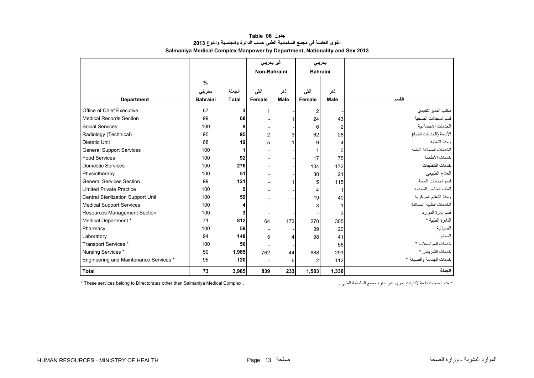<span id="page-11-0"></span>

|                                        |                 |              |                | غیر بحرینی |                 | بحريني         |                          |
|----------------------------------------|-----------------|--------------|----------------|------------|-----------------|----------------|--------------------------|
|                                        |                 |              | Non-Bahraini   |            | <b>Bahraini</b> |                |                          |
|                                        | $\frac{0}{0}$   |              |                |            |                 |                |                          |
|                                        | بحريني          | الجملة       | أنشى           | ذكر        | أنشى            | نكر            |                          |
| <b>Department</b>                      | <b>Bahraini</b> | <b>Total</b> | Female         | Male       | <b>Female</b>   | Male           | القسم                    |
| Office of Chief Executive              | 67              | 3            |                |            | 2               |                | مكتب المدير التنفيذي     |
| <b>Medical Records Section</b>         | 99              | 68           |                |            | 24              | 43             | قسم السجلات الصحية       |
| <b>Social Services</b>                 | 100             | 8            |                |            | 6               | $\overline{2}$ | الخدمات الأجتماعية       |
| Radiology (Technical)                  | 95              | 95           | $\overline{2}$ | 3          | 62              | 28             | الأشعة (الخدمات الفنية)  |
| Dietetic Unit                          | 68              | 19           | 5              |            | 9               | 4              | وحدة التغذبة             |
| <b>General Support Services</b>        | 100             | 1            |                |            |                 | $\mathbf 0$    | الخدمات المساندة العامة  |
| <b>Food Services</b>                   | 100             | 92           |                |            | 17              | 75             | خدمات الأطعمة            |
| <b>Domestic Services</b>               | 100             | 276          |                |            | 104             | 172            | خدمات التنظيفات          |
| Physiotherapy                          | 100             | 51           |                |            | 30              | 21             | العلاج الطبيعي           |
| <b>General Services Section</b>        | 99              | 121          |                |            | 5               | 115            | قسم الخدمات العامة       |
| <b>Limited Private Practice</b>        | 100             | 5            |                |            |                 | 1              | الطب الخاص المحدود       |
| Central Sterilization Support Unit     | 100             | 59           |                |            | 19              | 40             | وحدة التعقيم المركزية    |
| <b>Medical Support Services</b>        | 100             | 4            |                |            | 3               |                | الخدمات الطببة المساندة  |
| Resources Management Section           | 100             | 3            |                |            |                 | 3              | قسم إدارة الموارد        |
| Medical Department *                   | 71              | 812          | 64             | 173        | 270             | 305            | الدائر ة الطبية *        |
| Pharmacy                               | 100             | 59           |                |            | 39              | 20             | الصيدلية                 |
| Laboratory                             | 94              | 148          | 5              | 4          | 98              | 41             | المختبر                  |
| Transport Services *                   | 100             | 56           |                |            |                 | 56             | خدمات المواصلات *        |
| Nursing Services *                     | 59              | 1,985        | 762            | 44         | 888             | 291            | خدمات التمريض *          |
| Engineering and Maintenance Services * | 95              | 120          |                | 6          | 2               | 112            | خدمات الهندسة والصيانة * |
| <b>Total</b>                           | 73              | 3,985        | 839            | 233        | 1,583           | 1,330          | الجملة                   |

## **جدول 06 Table القوى العاملة في مجمع السلمانية الطبي حسب الدائرة والجنسية والنوع <sup>2013</sup> Salmaniya Medical Complex Manpower by Department, Nationality and Sex 2013**

\* These services belong to Directorates other than Salmaniya Medical Complex .

\* ھذه الخدمات تابعة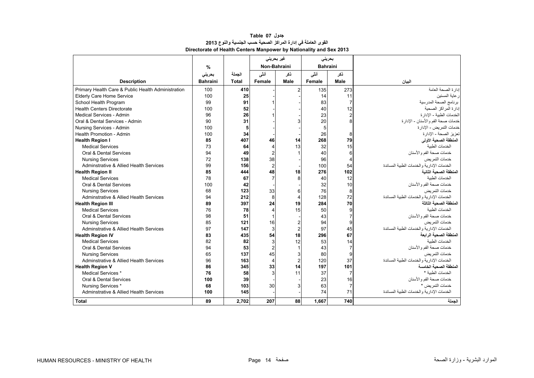<span id="page-12-0"></span>

|                                                    |                 |        |                | غیر بحرینی     |        | بحرينى          |                                             |
|----------------------------------------------------|-----------------|--------|----------------|----------------|--------|-----------------|---------------------------------------------|
|                                                    | $\%$            |        |                | Non-Bahraini   |        | <b>Bahraini</b> |                                             |
|                                                    | بحرينى          | الجملة | أنشى           | نكر            | أنشى   | نكر             |                                             |
| <b>Description</b>                                 | <b>Bahraini</b> | Total  | Female         | Male           | Female | Male            | البيان                                      |
| Primary Health Care & Public Health Administration | 100             | 410    |                | $\overline{2}$ | 135    | 273             | إدارة الصحة العامة                          |
| <b>Elderly Care Home Service</b>                   | 100             | 25     |                |                | 14     | 11              | ر عاية المسنين                              |
| School Health Program                              | 99              | 91     |                |                | 83     | $\overline{7}$  | برنامج الصحة المدرسية                       |
| <b>Health Centers Directorate</b>                  | 100             | 52     |                |                | 40     | 12              | إدارة المراكز الصحبة                        |
| Medical Services - Admin                           | 96              | 26     |                |                | 23     | $\overline{2}$  | الخدمات الطببة - الإدار ة                   |
| Oral & Dental Services - Admin                     | 90              | 31     |                | 3              | 20     | 8               | خدمات صحة الفم والأسنان - الإدارة           |
| Nursing Services - Admin                           | 100             | 5      |                |                | 5      |                 | خدمات التمر يض - الإدار ة                   |
| Health Promotion - Admin                           | 100             | 34     |                |                | 26     | 8               | تعزيز الصحة - الإدارة                       |
| <b>Health Region I</b>                             | 85              | 407    | 46             | 14             | 268    | 79              | المنطقة الصحية الأولى                       |
| <b>Medical Services</b>                            | 73              | 64     | 4              | 13             | 32     | 15              | الخدمات الطنبة                              |
| Oral & Dental Services                             | 94              | 49     | $\overline{2}$ |                | 40     | 6               | خدمات صحة الفم و الأسنان                    |
| <b>Nursing Services</b>                            | 72              | 138    | 38             |                | 96     | $\overline{4}$  | خدمات التمر بض                              |
| Adminstrative & Allied Health Services             | 99              | 156    | $\overline{2}$ |                | 100    | 54              | الخدمات الإدار بة و الخدمات الطببة المساندة |
| <b>Health Region II</b>                            | 85              | 444    | 48             | 18             | 276    | 102             | المنطقة الصحبة الثانية                      |
| <b>Medical Services</b>                            | 78              | 67     | $\overline{7}$ | 8              | 40     | 12              | الخدمات الطنبة                              |
| Oral & Dental Services                             | 100             | 42     |                |                | 32     | 10              | خدمات صحة الفم والأسنان                     |
| <b>Nursing Services</b>                            | 68              | 123    | 33             | 6              | 76     | 8               | خدمات التمر بض                              |
| <b>Adminstrative &amp; Allied Health Services</b>  | 94              | 212    | 8              | $\overline{4}$ | 128    | 72              | الخدمات الادار بة و الخدمات الطببة المساندة |
| <b>Health Region III</b>                           | 89              | 397    | 24             | 19             | 284    | 70              | لمنطقة الصحبة الثالثة                       |
| <b>Medical Services</b>                            | 76              | 78     | 4              | 15             | 50     | 9               | الخدمات الطنبة                              |
| Oral & Dental Services                             | 98              | 51     | 1              |                | 43     | $\overline{7}$  | خدمات صحة الفم و الأسنان                    |
| <b>Nursing Services</b>                            | 85              | 121    | 16             | $\overline{2}$ | 94     | 9               | خدمات التمر بض                              |
| Adminstrative & Allied Health Services             | 97              | 147    | 3              | $\overline{c}$ | 97     | 45              | الخدمات الإدار بة و الخدمات الطببة المساندة |
| <b>Health Region IV</b>                            | 83              | 435    | 54             | 18             | 296    | 67              | المنطقة الصحبة الر ابعة                     |
| <b>Medical Services</b>                            | 82              | 82     | 3              | 12             | 53     | 14              | الخدمات الطنبة                              |
| Oral & Dental Services                             | 94              | 53     | $\overline{2}$ |                | 43     | $\overline{7}$  | خدمات صحة الفم والأسنان                     |
| <b>Nursing Services</b>                            | 65              | 137    | 45             | 3              | 80     | 9               | خدمات التمر بض                              |
| Adminstrative & Allied Health Services             | 96              | 163    | $\overline{4}$ | $\overline{2}$ | 120    | 37              | الخدمات الإدارية والخدمات الطبية المساندة   |
| <b>Health Region V</b>                             | 86              | 345    | 33             | 14             | 197    | 101             | المنطقة الصحبة الخامسة                      |
| Medical Services *                                 | 76              | 58     | 3              | 11             | 37     | $\overline{7}$  | الخدمات الطببة *                            |
| Oral & Dental Services                             | 100             | 39     |                |                | 23     | 16              | خدمات صحة الفم و الأسنان                    |
| Nursing Services *                                 | 68              | 103    | 30             | 3              | 63     | $\overline{7}$  | خدمات التمر بض *                            |
| Adminstrative & Allied Health Services             | 100             | 145    |                |                | 74     | 71              | الخدمات الإدار ية و الخدمات الطبية المساندة |
| <b>Total</b>                                       | 89              | 2,702  | 207            | 88             | 1,667  | 740             | الجملة                                      |

### **جدول 07 Table القوى العاملة في إدارة المراكز الصحية حسب الجنسية والنوع <sup>2013</sup> Directorate of Health Centers Manpower by Nationality and Sex 2013**